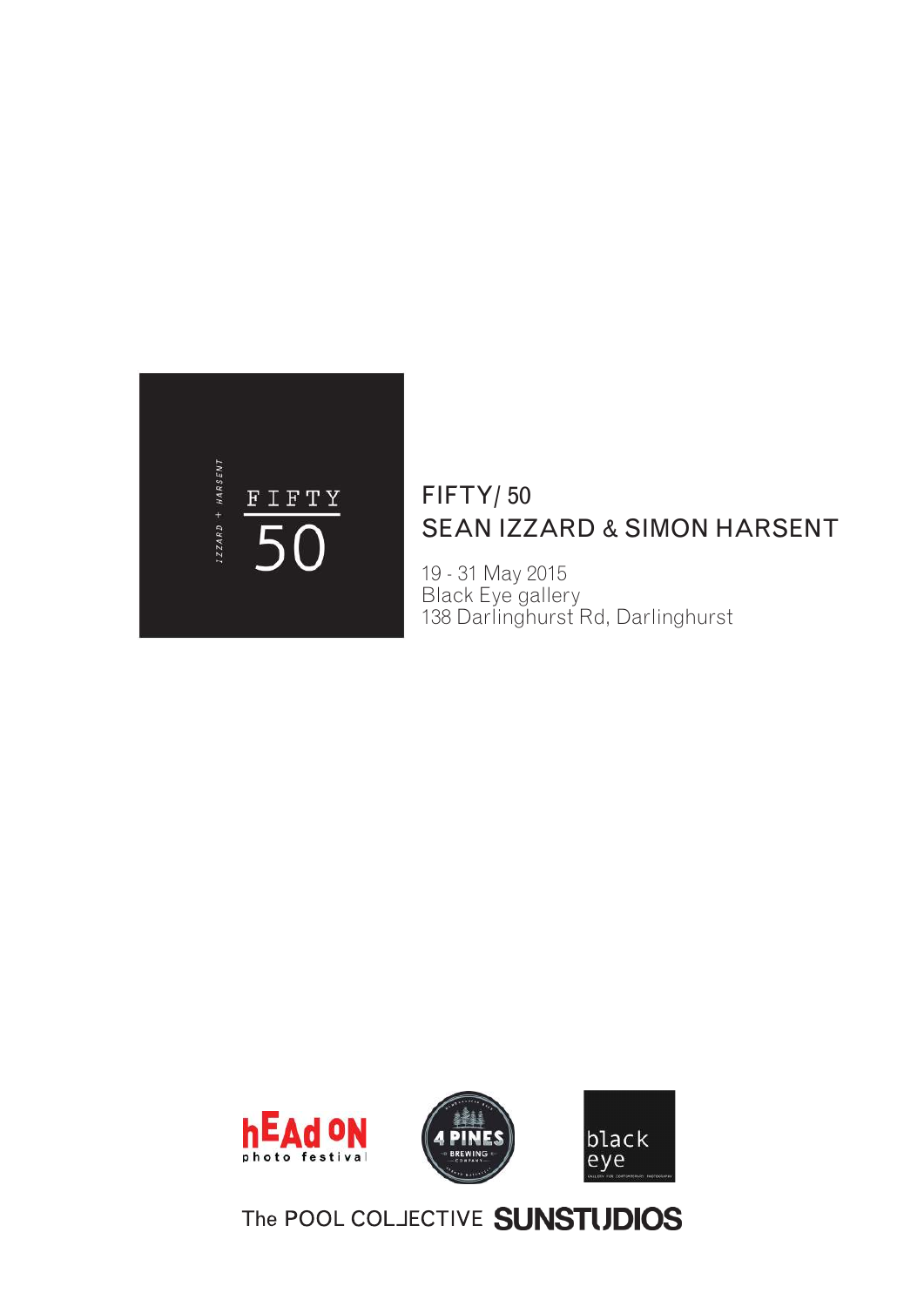

### FIFTY/ 50 SEAN IZZARD & SIMON HARSENT

19 - 31 May 2015 Black Eye gallery 138 Darlinghurst Rd, Darlinghurst



## The POOL COLJECTIVE **SUNSTUDIOS**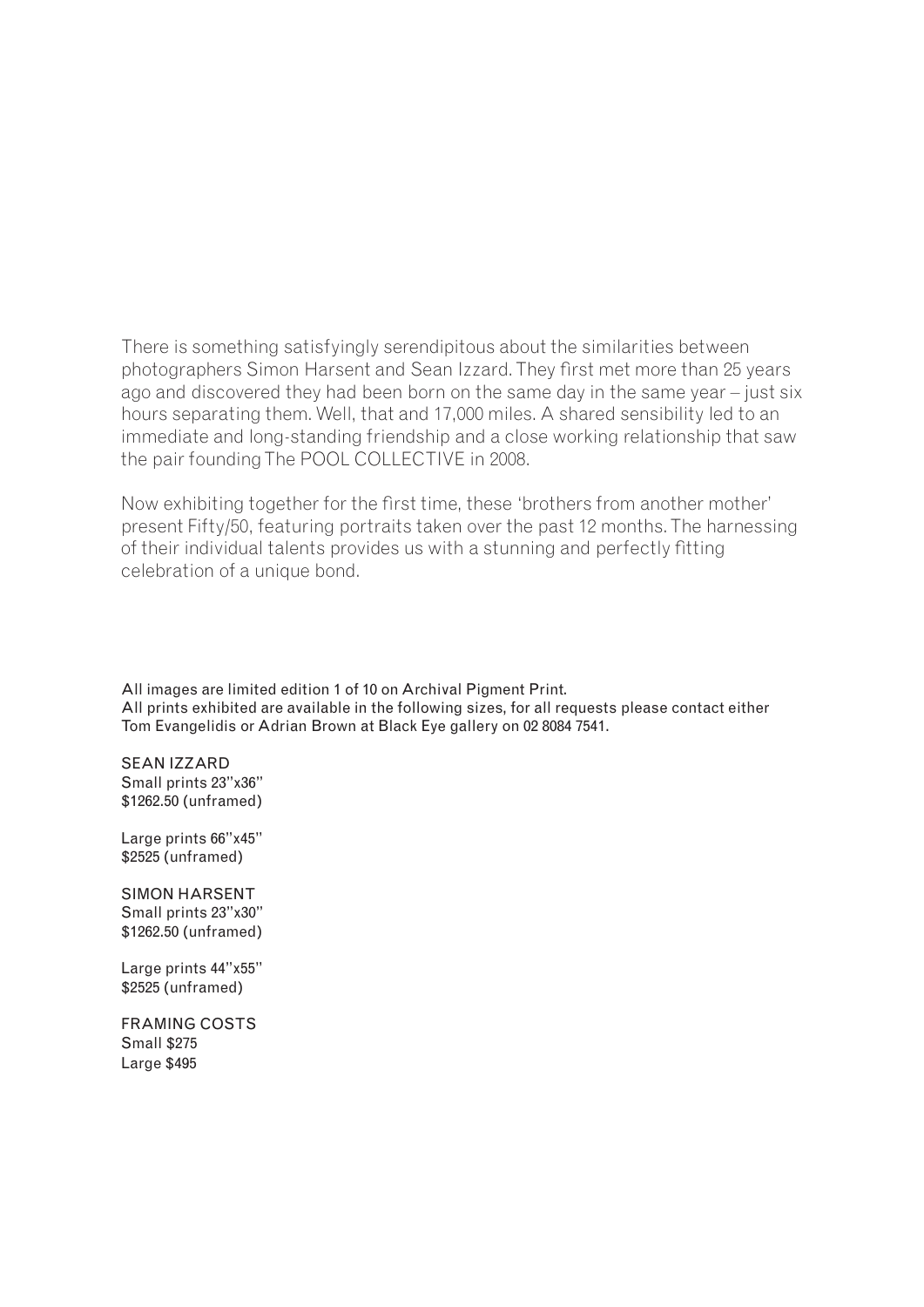There is something satisfyingly serendipitous about the similarities between photographers Simon Harsent and Sean Izzard. They first met more than 25 years ago and discovered they had been born on the same day in the same year – just six hours separating them. Well, that and 17,000 miles. A shared sensibility led to an immediate and long-standing friendship and a close working relationship that saw the pair founding The POOL COLLECTIVE in 2008.

Now exhibiting together for the first time, these 'brothers from another mother' present Fifty/50, featuring portraits taken over the past 12 months. The harnessing of their individual talents provides us with a stunning and perfectly fitting celebration of a unique bond.

All images are limited edition 1 of 10 on Archival Pigment Print. All prints exhibited are available in the following sizes, for all requests please contact either Tom Evangelidis or Adrian Brown at Black Eye gallery on 02 8084 7541.

SEAN IZZARD Small prints 23"x36" \$1262.50 (unframed)

Large prints 66"x45" \$2525 (unframed)

SIMON HARSENT Small prints 23"x30" \$1262.50 (unframed)

Large prints 44"x55" \$2525 (unframed)

FRAMING COSTS Small \$275 Large \$495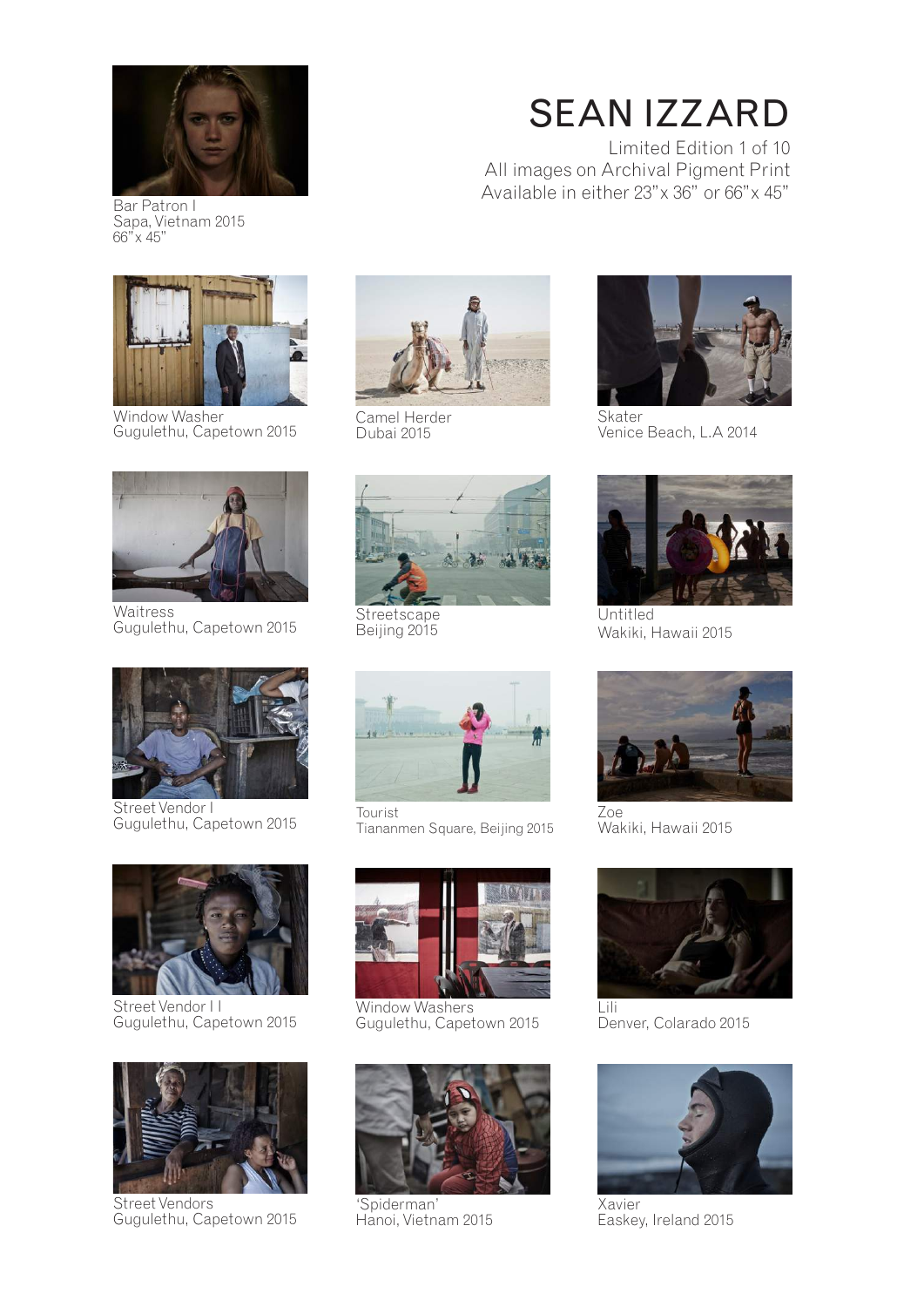

Bar Patron I Sapa, Vietnam 2015 66"x 45"



Window Washer Gugulethu, Capetown 2015



**Waitress** Gugulethu, Capetown 2015



Street Vendor I Gugulethu, Capetown 2015



Street Vendor I I Gugulethu, Capetown 2015



Street Vendors Gugulethu, Capetown 2015



Camel Herder Dubai 2015



**Streetscape** Beijing 2015



Tourist Tiananmen Square, Beijing 2015



Window Washers Gugulethu, Capetown 2015



'Spiderman' Hanoi, Vietnam 2015



Limited Edition 1 of 10 All images on Archival Pigment Print Available in either 23"x 36" or 66"x 45"



Skater Venice Beach, L.A 2014



Untitled Wakiki, Hawaii 2015



Zoe Wakiki, Hawaii 2015



Denver, Colarado 2015



Xavier Easkey, Ireland 2015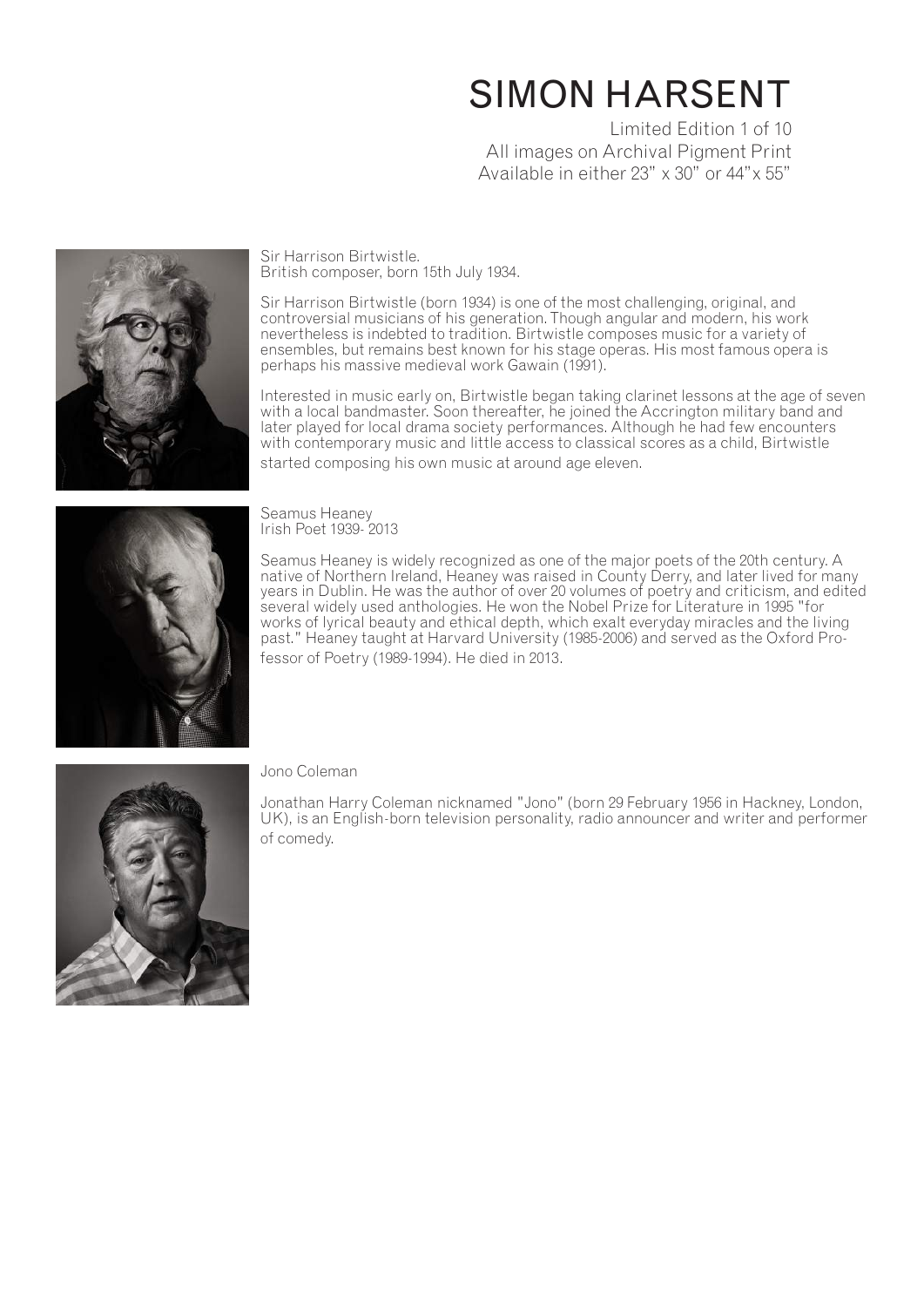# SIMON HARSENT

Limited Edition 1 of 10 All images on Archival Pigment Print Available in either 23" x 30" or 44"x 55"



Sir Harrison Birtwistle. British composer, born 15th July 1934.

Sir Harrison Birtwistle (born 1934) is one of the most challenging, original, and controversial musicians of his generation. Though angular and modern, his work nevertheless is indebted to tradition. Birtwistle composes music for a variety of ensembles, but remains best known for his stage operas. His most famous opera is perhaps his massive medieval work Gawain (1991).

Interested in music early on, Birtwistle began taking clarinet lessons at the age of seven with a local bandmaster. Soon thereafter, he joined the Accrington military band and later played for local drama society performances. Although he had few encounters with contemporary music and little access to classical scores as a child, Birtwistle started composing his own music at around age eleven.



Seamus Heaney Irish Poet 1939- 2013

Seamus Heaney is widely recognized as one of the major poets of the 20th century. A native of Northern Ireland, Heaney was raised in County Derry, and later lived for many years in Dublin. He was the author of over 20 volumes of poetry and criticism, and edited several widely used anthologies. He won the Nobel Prize for Literature in 1995 "for works of lyrical beauty and ethical depth, which exalt everyday miracles and the living past." Heaney taught at Harvard University (1985-2006) and served as the Oxford Professor of Poetry (1989-1994). He died in 2013.



### Jono Coleman

Jonathan Harry Coleman nicknamed "Jono" (born 29 February 1956 in Hackney, London, UK), is an English-born television personality, radio announcer and writer and performer of comedy.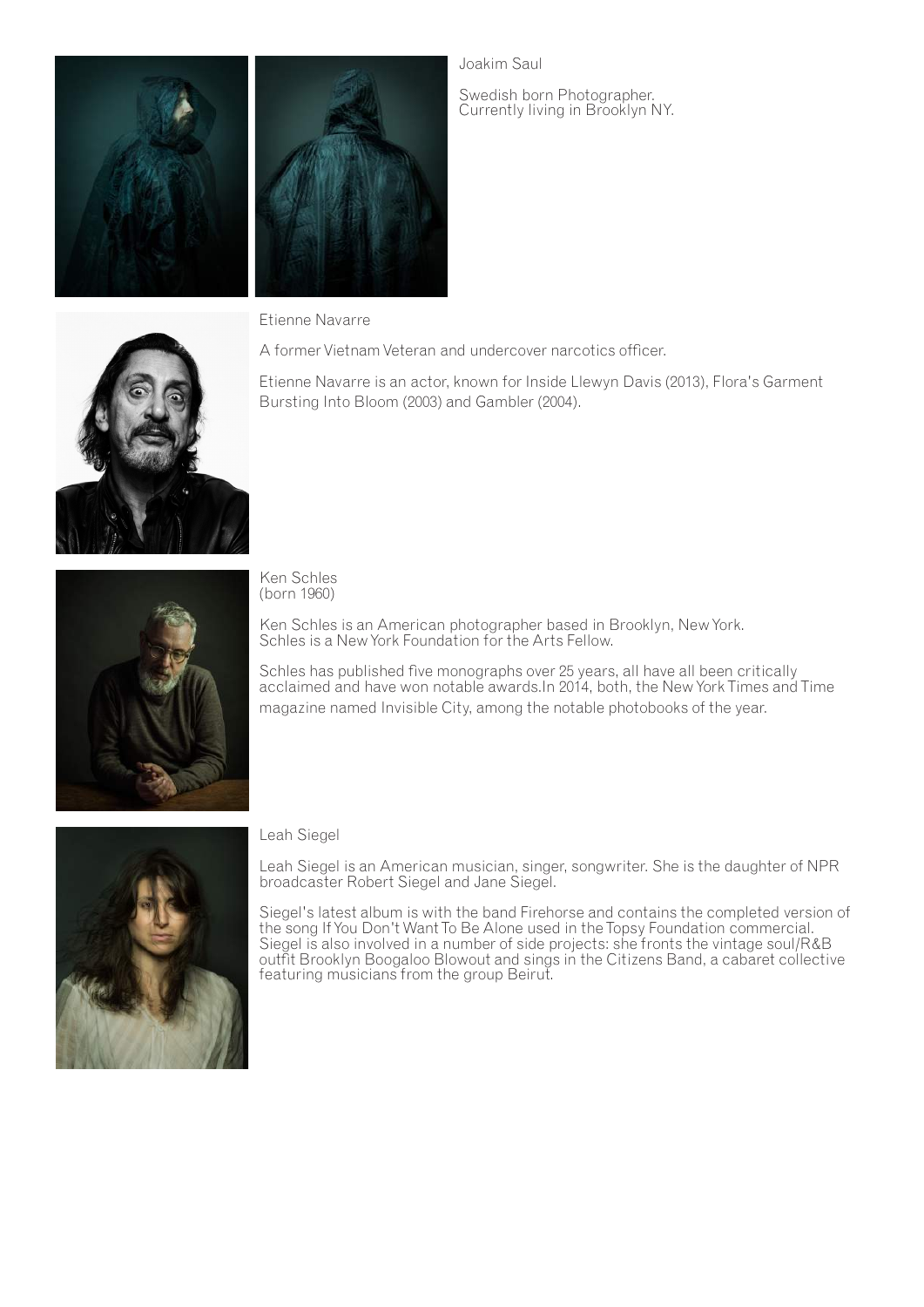

Joakim Saul

Swedish born Photographer. Currently living in Brooklyn NY.



Etienne Navarre

A former Vietnam Veteran and undercover narcotics officer.

Etienne Navarre is an actor, known for Inside Llewyn Davis (2013), Flora's Garment Bursting Into Bloom (2003) and Gambler (2004).



Ken Schles (born 1960)

Ken Schles is an American photographer based in Brooklyn, New York. Schles is a New York Foundation for the Arts Fellow.

Schles has published five monographs over 25 years, all have all been critically acclaimed and have won notable awards.In 2014, both, the New York Times and Time magazine named Invisible City, among the notable photobooks of the year.



Leah Siegel

Leah Siegel is an American musician, singer, songwriter. She is the daughter of NPR broadcaster Robert Siegel and Jane Siegel.

Siegel's latest album is with the band Firehorse and contains the completed version of the song If You Don't Want To Be Alone used in the Topsy Foundation commercial. Siegel is also involved in a number of side projects: she fronts the vintage soul/R&B outfit Brooklyn Boogaloo Blowout and sings in the Citizens Band, a cabaret collective featuring musicians from the group Beirut.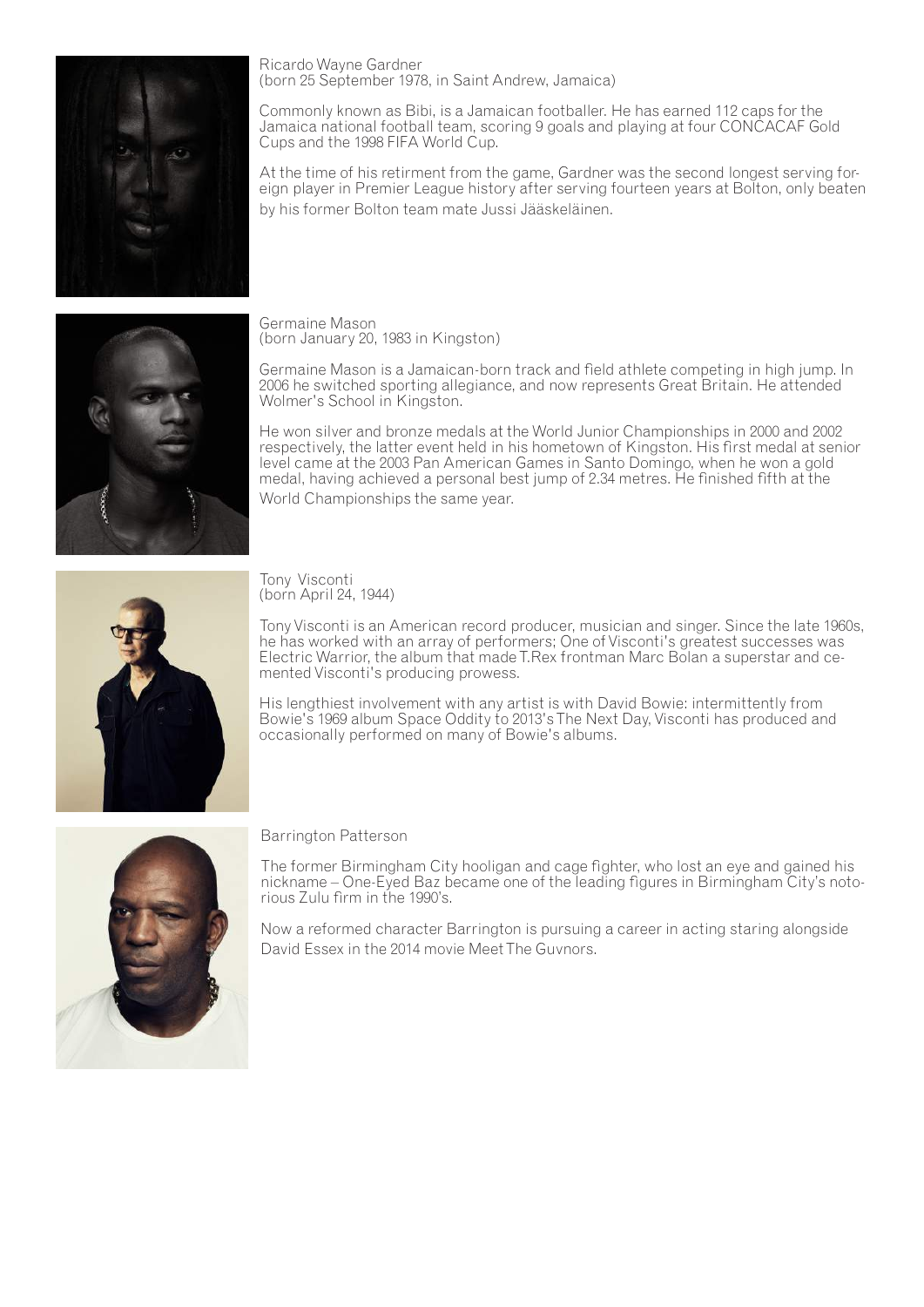

Ricardo Wayne Gardner (born 25 September 1978, in Saint Andrew, Jamaica)

Commonly known as Bibi, is a Jamaican footballer. He has earned 112 caps for the Jamaica national football team, scoring 9 goals and playing at four CONCACAF Gold Cups and the 1998 FIFA World Cup.

At the time of his retirment from the game, Gardner was the second longest serving foreign player in Premier League history after serving fourteen years at Bolton, only beaten by his former Bolton team mate Jussi Jääskeläinen.



Germaine Mason (born January 20, 1983 in Kingston)

Germaine Mason is a Jamaican-born track and field athlete competing in high jump. In 2006 he switched sporting allegiance, and now represents Great Britain. He attended Wolmer's School in Kingston.

He won silver and bronze medals at the World Junior Championships in 2000 and 2002 respectively, the latter event held in his hometown of Kingston. His first medal at senior level came at the 2003 Pan American Games in Santo Domingo, when he won a gold medal, having achieved a personal best jump of 2.34 metres. He finished fifth at the World Championships the same year.



Tony Visconti (born April 24, 1944)

Tony Visconti is an American record producer, musician and singer. Since the late 1960s, he has worked with an array of performers; One of Visconti's greatest successes was Electric Warrior, the album that made T.Rex frontman Marc Bolan a superstar and ce- mented Visconti's producing prowess.

His lengthiest involvement with any artist is with David Bowie: intermittently from Bowie's 1969 album Space Oddity to 2013's The Next Day, Visconti has produced and occasionally performed on many of Bowie's albums.



Barrington Patterson

The former Birmingham City hooligan and cage fighter, who lost an eye and gained his nickname – One-Eyed Baz became one of the leading figures in Birmingham City's notorious Zulu firm in the 1990's.

Now a reformed character Barrington is pursuing a career in acting staring alongside David Essex in the 2014 movie Meet The Guvnors.